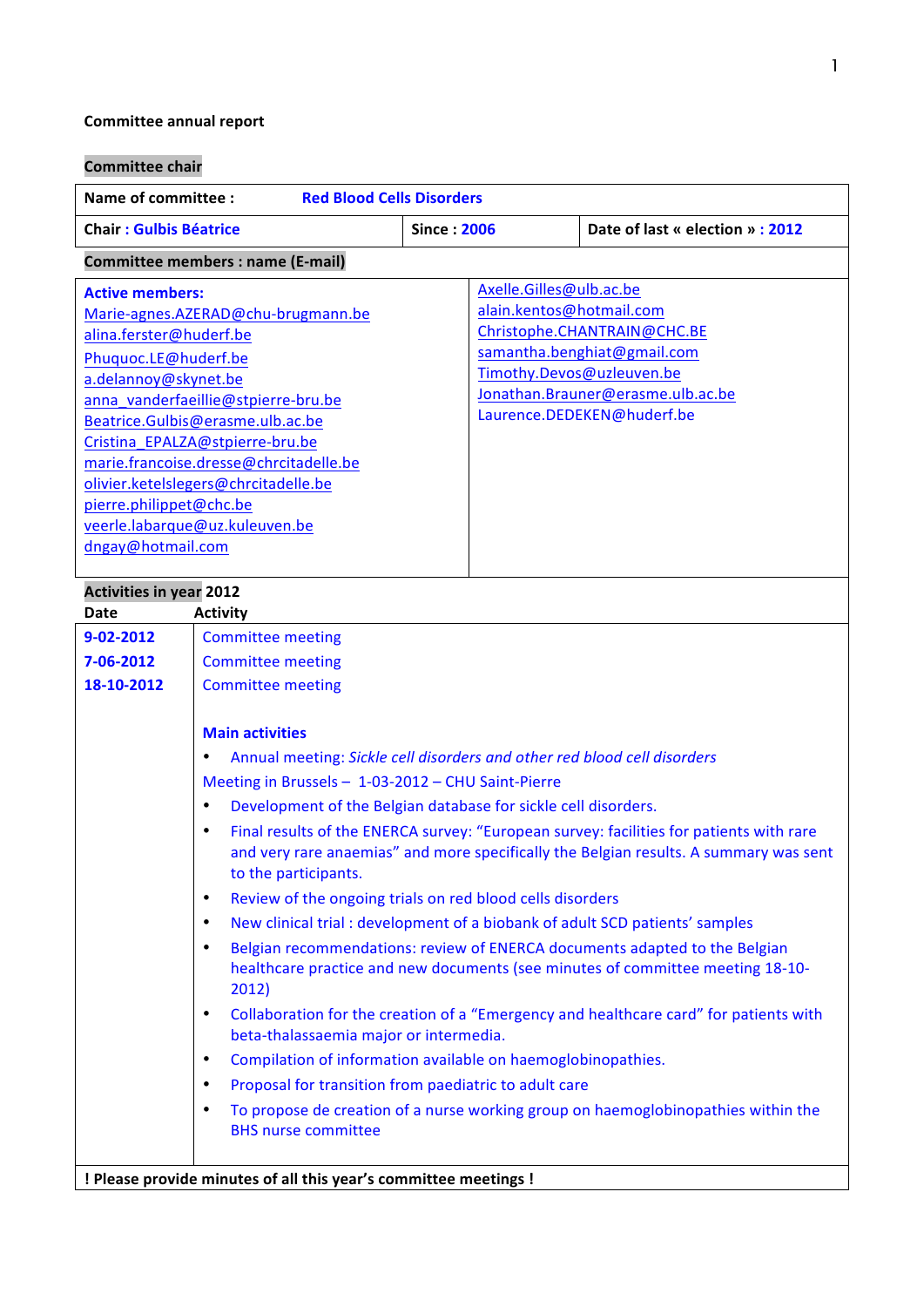# **Committee annual report**

| <b>Committee chair</b>                                                                                                                                                                                                                                                                                                                                                                                                    |                                                                                                                                                                                                                                                                                                                                                                                                                                                                                                                                                                                                                                                                                                                                                                                                                                                                                                                                                                                                                                                                                                                                                                                                                                                                                                                                      |                    |                                                                                                                                                                                                                   |
|---------------------------------------------------------------------------------------------------------------------------------------------------------------------------------------------------------------------------------------------------------------------------------------------------------------------------------------------------------------------------------------------------------------------------|--------------------------------------------------------------------------------------------------------------------------------------------------------------------------------------------------------------------------------------------------------------------------------------------------------------------------------------------------------------------------------------------------------------------------------------------------------------------------------------------------------------------------------------------------------------------------------------------------------------------------------------------------------------------------------------------------------------------------------------------------------------------------------------------------------------------------------------------------------------------------------------------------------------------------------------------------------------------------------------------------------------------------------------------------------------------------------------------------------------------------------------------------------------------------------------------------------------------------------------------------------------------------------------------------------------------------------------|--------------------|-------------------------------------------------------------------------------------------------------------------------------------------------------------------------------------------------------------------|
| <b>Name of committee:</b><br><b>Red Blood Cells Disorders</b>                                                                                                                                                                                                                                                                                                                                                             |                                                                                                                                                                                                                                                                                                                                                                                                                                                                                                                                                                                                                                                                                                                                                                                                                                                                                                                                                                                                                                                                                                                                                                                                                                                                                                                                      |                    |                                                                                                                                                                                                                   |
| <b>Chair: Gulbis Béatrice</b>                                                                                                                                                                                                                                                                                                                                                                                             |                                                                                                                                                                                                                                                                                                                                                                                                                                                                                                                                                                                                                                                                                                                                                                                                                                                                                                                                                                                                                                                                                                                                                                                                                                                                                                                                      | <b>Since: 2006</b> | Date of last « election » : 2012                                                                                                                                                                                  |
| Committee members : name (E-mail)                                                                                                                                                                                                                                                                                                                                                                                         |                                                                                                                                                                                                                                                                                                                                                                                                                                                                                                                                                                                                                                                                                                                                                                                                                                                                                                                                                                                                                                                                                                                                                                                                                                                                                                                                      |                    |                                                                                                                                                                                                                   |
| <b>Active members:</b><br>Marie-agnes.AZERAD@chu-brugmann.be<br>alina.ferster@huderf.be<br>Phuguoc.LE@huderf.be<br>a.delannoy@skynet.be<br>anna_vanderfaeillie@stpierre-bru.be<br>Beatrice.Gulbis@erasme.ulb.ac.be<br>Cristina_EPALZA@stpierre-bru.be<br>marie.francoise.dresse@chrcitadelle.be<br>olivier.ketelslegers@chrcitadelle.be<br>pierre.philippet@chc.be<br>veerle.labarque@uz.kuleuven.be<br>dngay@hotmail.com |                                                                                                                                                                                                                                                                                                                                                                                                                                                                                                                                                                                                                                                                                                                                                                                                                                                                                                                                                                                                                                                                                                                                                                                                                                                                                                                                      |                    | Axelle.Gilles@ulb.ac.be<br>alain.kentos@hotmail.com<br>Christophe.CHANTRAIN@CHC.BE<br>samantha.benghiat@gmail.com<br>Timothy.Devos@uzleuven.be<br>Jonathan.Brauner@erasme.ulb.ac.be<br>Laurence.DEDEKEN@huderf.be |
| <b>Activities in year 2012</b><br><b>Activity</b><br>Date                                                                                                                                                                                                                                                                                                                                                                 |                                                                                                                                                                                                                                                                                                                                                                                                                                                                                                                                                                                                                                                                                                                                                                                                                                                                                                                                                                                                                                                                                                                                                                                                                                                                                                                                      |                    |                                                                                                                                                                                                                   |
| 9-02-2012<br>7-06-2012<br>18-10-2012                                                                                                                                                                                                                                                                                                                                                                                      | <b>Committee meeting</b><br><b>Committee meeting</b><br><b>Committee meeting</b><br><b>Main activities</b><br>Annual meeting: Sickle cell disorders and other red blood cell disorders<br>Meeting in Brussels - 1-03-2012 - CHU Saint-Pierre<br>Development of the Belgian database for sickle cell disorders.<br>٠<br>Final results of the ENERCA survey: "European survey: facilities for patients with rare<br>$\bullet$<br>and very rare anaemias" and more specifically the Belgian results. A summary was sent<br>to the participants.<br>Review of the ongoing trials on red blood cells disorders<br>$\bullet$<br>New clinical trial : development of a biobank of adult SCD patients' samples<br>$\bullet$<br>Belgian recommendations: review of ENERCA documents adapted to the Belgian<br>$\bullet$<br>healthcare practice and new documents (see minutes of committee meeting 18-10-<br>2012)<br>Collaboration for the creation of a "Emergency and healthcare card" for patients with<br>$\bullet$<br>beta-thalassaemia major or intermedia.<br>Compilation of information available on haemoglobinopathies.<br>٠<br>Proposal for transition from paediatric to adult care<br>$\bullet$<br>To propose de creation of a nurse working group on haemoglobinopathies within the<br>$\bullet$<br><b>BHS nurse committee</b> |                    |                                                                                                                                                                                                                   |

**! Please provide minutes of all this year's committee meetings!**